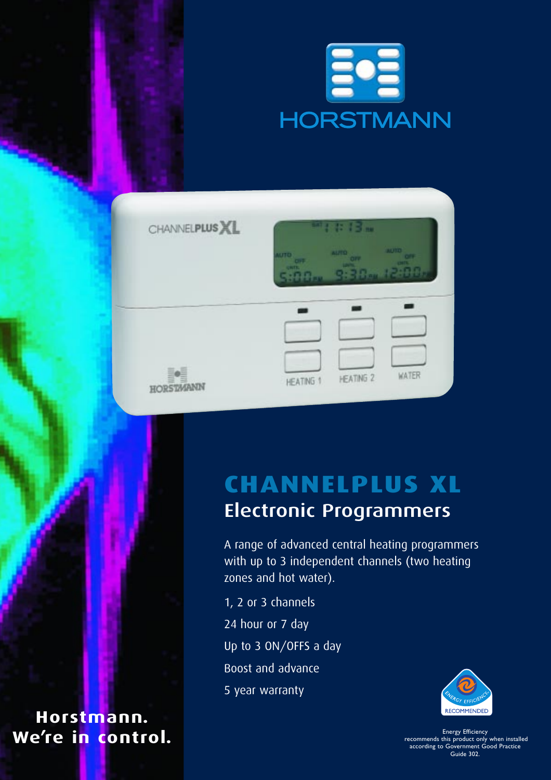

| CHANNELPLUS XL      | $m_{1}$ : $13m$                                                                                                                            |  |  |  |  |
|---------------------|--------------------------------------------------------------------------------------------------------------------------------------------|--|--|--|--|
|                     | <b>AUTO</b><br><b>QTUA</b><br><b>UITO</b><br><b>OFF</b><br>OFF<br>CIFE<br><b>UNTE</b><br>LINTS.<br><b>QUITE</b><br>12:55n<br>9.30<br>5:5.5 |  |  |  |  |
|                     |                                                                                                                                            |  |  |  |  |
| ¢<br>₿<br>HORSTMANN | <b>WATER</b><br><b>HEATING 2</b><br>HEATING 1                                                                                              |  |  |  |  |

## **CHANNELPLUS XL** Electronic Programmers

A range of advanced central heating programmers with up to 3 independent channels (two heating zones and hot water).

1, 2 or 3 channels 24 hour or 7 day Up to 3 ON/OFFS a day Boost and advance 5 year warranty



recommends this product only when installed according to Government Good Practice Guide 302.

**Horstmann.** We're in control.